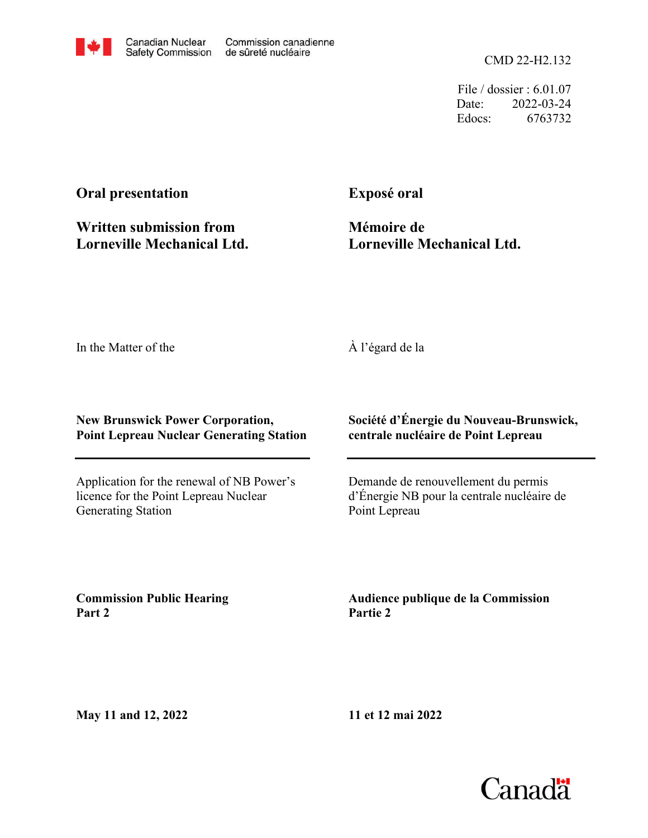CMD 22-H2.132

File / dossier : 6.01.07 Date: 2022-03-24 Edocs: 6763732

## **Oral presentation**

**Written submission from Lorneville Mechanical Ltd.** **Exposé oral**

**Mémoire de Lorneville Mechanical Ltd.**

In the Matter of the

## À l'égard de la

## **New Brunswick Power Corporation, Point Lepreau Nuclear Generating Station**

Application for the renewal of NB Power's licence for the Point Lepreau Nuclear Generating Station

**Société d'Énergie du Nouveau-Brunswick, centrale nucléaire de Point Lepreau**

Demande de renouvellement du permis d'Énergie NB pour la centrale nucléaire de Point Lepreau

**Commission Public Hearing Part 2**

**Audience publique de la Commission Partie 2**

**May 11 and 12, 2022**

**11 et 12 mai 2022**

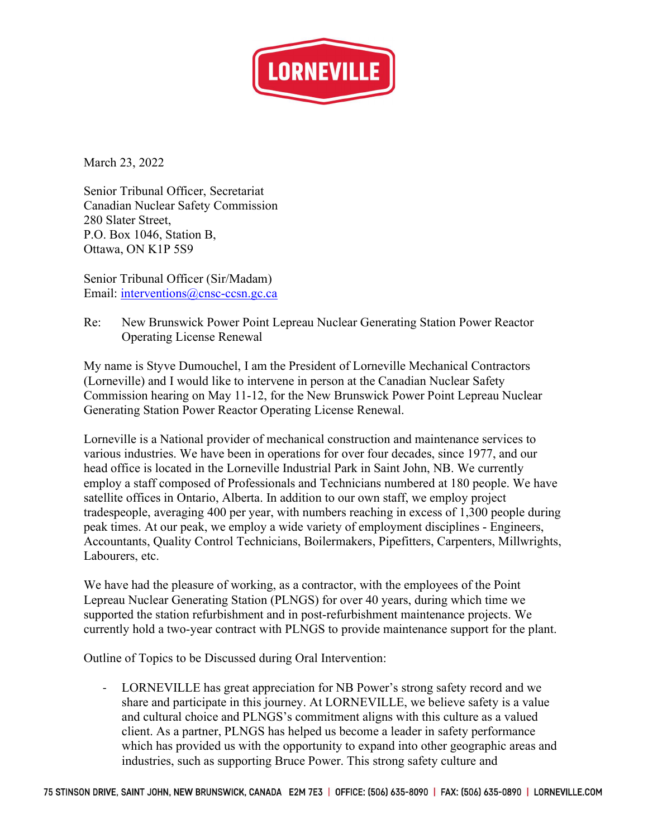

March 23, 2022

Senior Tribunal Officer, Secretariat Canadian Nuclear Safety Commission 280 Slater Street, P.O. Box 1046, Station B, Ottawa, ON K1P 5S9

Senior Tribunal Officer (Sir/Madam) Email: interventions@cnsc-ccsn.gc.ca

Re: New Brunswick Power Point Lepreau Nuclear Generating Station Power Reactor Operating License Renewal

My name is Styve Dumouchel, I am the President of Lorneville Mechanical Contractors (Lorneville) and I would like to intervene in person at the Canadian Nuclear Safety Commission hearing on May 11-12, for the New Brunswick Power Point Lepreau Nuclear Generating Station Power Reactor Operating License Renewal.

Lorneville is a National provider of mechanical construction and maintenance services to various industries. We have been in operations for over four decades, since 1977, and our head office is located in the Lorneville Industrial Park in Saint John, NB. We currently employ a staff composed of Professionals and Technicians numbered at 180 people. We have satellite offices in Ontario, Alberta. In addition to our own staff, we employ project tradespeople, averaging 400 per year, with numbers reaching in excess of 1,300 people during peak times. At our peak, we employ a wide variety of employment disciplines - Engineers, Accountants, Quality Control Technicians, Boilermakers, Pipefitters, Carpenters, Millwrights, Labourers, etc.

We have had the pleasure of working, as a contractor, with the employees of the Point Lepreau Nuclear Generating Station (PLNGS) for over 40 years, during which time we supported the station refurbishment and in post-refurbishment maintenance projects. We currently hold a two-year contract with PLNGS to provide maintenance support for the plant.

Outline of Topics to be Discussed during Oral Intervention:

- LORNEVILLE has great appreciation for NB Power's strong safety record and we share and participate in this journey. At LORNEVILLE, we believe safety is a value and cultural choice and PLNGS's commitment aligns with this culture as a valued client. As a partner, PLNGS has helped us become a leader in safety performance which has provided us with the opportunity to expand into other geographic areas and industries, such as supporting Bruce Power. This strong safety culture and